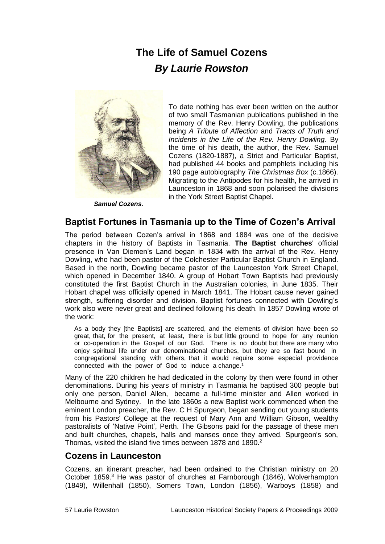# **The Life of Samuel Cozens** *By Laurie Rowston*



*Samuel Cozens.*

To date nothing has ever been written on the author of two small Tasmanian publications published in the memory of the Rev. Henry Dowling, the publications being *A Tribute of Affection* and *Tracts of Truth and Incidents in the Life of the Rev. Henry Dowling*. By the time of his death, the author, the Rev. Samuel Cozens (1820-1887), a Strict and Particular Baptist, had published 44 books and pamphlets including his 190 page autobiography *The Christmas Box* (c.1866). Migrating to the Antipodes for his health, he arrived in Launceston in 1868 and soon polarised the divisions in the York Street Baptist Chapel.

### **Baptist Fortunes in Tasmania up to the Time of Cozen's Arrival**

The period between Cozen's arrival in 1868 and 1884 was one of the decisive chapters in the history of Baptists in Tasmania. **The Baptist churches**' official presence in Van Diemen's Land began in 1834 with the arrival of the Rev. Henry Dowling, who had been pastor of the Colchester Particular Baptist Church in England. Based in the north, Dowling became pastor of the Launceston York Street Chapel, which opened in December 1840. A group of Hobart Town Baptists had previously constituted the first Baptist Church in the Australian colonies, in June 1835. Their Hobart chapel was officially opened in March 1841. The Hobart cause never gained strength, suffering disorder and division. Baptist fortunes connected with Dowling's work also were never great and declined following his death. In 1857 Dowling wrote of the work:

As a body they [the Baptists] are scattered, and the elements of division have been so great, that, for the present, at least, there is but little ground to hope for any reunion or co-operation in the Gospel of our God. There is no doubt but there are many who enjoy spiritual life under our denominational churches, but they are so fast bound in congregational standing with others, that it would require some especial providence connected with the power of God to induce a change.<sup>1</sup>

Many of the 220 children he had dedicated in the colony by then were found in other denominations. During his years of ministry in Tasmania he baptised 300 people but only one person, Daniel Allen, became a full-time minister and Allen worked in Melbourne and Sydney. In the late 1860s a new Baptist work commenced when the eminent London preacher, the Rev. C H Spurgeon, began sending out young students from his Pastors' College at the request of Mary Ann and William Gibson, wealthy pastoralists of 'Native Point', Perth. The Gibsons paid for the passage of these men and built churches, chapels, halls and manses once they arrived. Spurgeon's son, Thomas, visited the island five times between 1878 and 1890.<sup>2</sup>

### **Cozens in Launceston**

Cozens, an itinerant preacher, had been ordained to the Christian ministry on 20 October 1859.<sup>3</sup> He was pastor of churches at Farnborough (1846), Wolverhampton (1849), Willenhall (1850), Somers Town, London (1856), Warboys (1858) and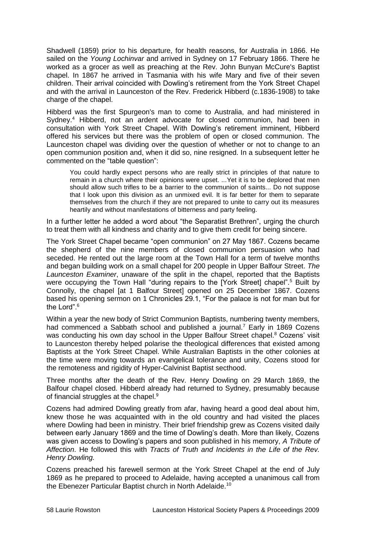Shadwell (1859) prior to his departure, for health reasons, for Australia in 1866. He sailed on the *Young Lochinvar* and arrived in Sydney on 17 February 1866. There he worked as a grocer as well as preaching at the Rev. John Bunyan McCure's Baptist chapel. In 1867 he arrived in Tasmania with his wife Mary and five of their seven children. Their arrival coincided with Dowling's retirement from the York Street Chapel and with the arrival in Launceston of the Rev. Frederick Hibberd (c.1836-1908) to take charge of the chapel.

Hibberd was the first Spurgeon's man to come to Australia, and had ministered in Sydney.<sup>4</sup> Hibberd, not an ardent advocate for closed communion, had been in consultation with York Street Chapel. With Dowling's retirement imminent, Hibberd offered his services but there was the problem of open or closed communion. The Launceston chapel was dividing over the question of whether or not to change to an open communion position and, when it did so, nine resigned. In a subsequent letter he commented on the "table question":

You could hardly expect persons who are really strict in principles of that nature to remain in a church where their opinions were upset. ...Yet it is to be deplored that men should allow such trifles to be a barrier to the communion of saints... Do not suppose that I look upon this division as an unmixed evil. It is far better for them to separate themselves from the church if they are not prepared to unite to carry out its measures heartily and without manifestations of bitterness and party feeling.

In a further letter he added a word about "the Separatist Brethren", urging the church to treat them with all kindness and charity and to give them credit for being sincere.

The York Street Chapel became "open communion" on 27 May 1867. Cozens became the shepherd of the nine members of closed communion persuasion who had seceded. He rented out the large room at the Town Hall for a term of twelve months and began building work on a small chapel for 200 people in Upper Balfour Street. *The Launceston Examiner*, unaware of the split in the chapel, reported that the Baptists were occupying the Town Hall "during repairs to the [York Street] chapel".<sup>5</sup> Built by Connolly, the chapel [at 1 Balfour Street] opened on 25 December 1867. Cozens based his opening sermon on 1 Chronicles 29.1, "For the palace is not for man but for the Lord".<sup>6</sup>

Within a year the new body of Strict Communion Baptists, numbering twenty members, had commenced a Sabbath school and published a journal.<sup>7</sup> Early in 1869 Cozens was conducting his own day school in the Upper Balfour Street chapel.<sup>8</sup> Cozens' visit to Launceston thereby helped polarise the theological differences that existed among Baptists at the York Street Chapel. While Australian Baptists in the other colonies at the time were moving towards an evangelical tolerance and unity, Cozens stood for the remoteness and rigidity of Hyper-Calvinist Baptist secthood.

Three months after the death of the Rev. Henry Dowling on 29 March 1869, the Balfour chapel closed. Hibberd already had returned to Sydney, presumably because of financial struggles at the chapel.<sup>9</sup>

Cozens had admired Dowling greatly from afar, having heard a good deal about him, knew those he was acquainted with in the old country and had visited the places where Dowling had been in ministry. Their brief friendship grew as Cozens visited daily between early January 1869 and the time of Dowling's death. More than likely, Cozens was given access to Dowling's papers and soon published in his memory, *A Tribute of Affection*. He followed this with *Tracts of Truth and Incidents in the Life of the Rev. Henry Dowling.*

Cozens preached his farewell sermon at the York Street Chapel at the end of July 1869 as he prepared to proceed to Adelaide, having accepted a unanimous call from the Ebenezer Particular Baptist church in North Adelaide.10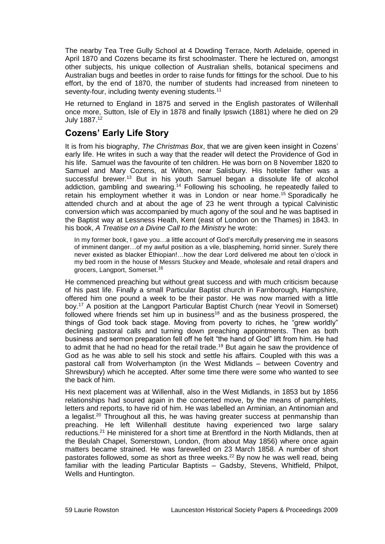The nearby Tea Tree Gully School at 4 Dowding Terrace, North Adelaide, opened in April 1870 and Cozens became its first schoolmaster. There he lectured on, amongst other subjects, his unique collection of Australian shells, botanical specimens and Australian bugs and beetles in order to raise funds for fittings for the school. Due to his effort, by the end of 1870, the number of students had increased from nineteen to seventy-four, including twenty evening students.<sup>11</sup>

He returned to England in 1875 and served in the English pastorates of Willenhall once more, Sutton, Isle of Ely in 1878 and finally Ipswich (1881) where he died on 29 July 1887.<sup>12</sup>

# **Cozens' Early Life Story**

It is from his biography, *The Christmas Box*, that we are given keen insight in Cozens' early life. He writes in such a way that the reader will detect the Providence of God in his life. Samuel was the favourite of ten children. He was born on 8 November 1820 to Samuel and Mary Cozens, at Wilton, near Salisbury. His hotelier father was a successful brewer.<sup>13</sup> But in his youth Samuel began a dissolute life of alcohol addiction, gambling and swearing.<sup>14</sup> Following his schooling, he repeatedly failed to retain his employment whether it was in London or near home.<sup>15</sup> Sporadically he attended church and at about the age of 23 he went through a typical Calvinistic conversion which was accompanied by much agony of the soul and he was baptised in the Baptist way at Lessness Heath, Kent (east of London on the Thames) in 1843. In his book, *A Treatise on a Divine Call to the Ministry* he wrote:

In my former book, I gave you…a little account of God's mercifully preserving me in seasons of imminent danger…of my awful position as a vile, blaspheming, horrid sinner. Surely there never existed as blacker Ethiopian!…how the dear Lord delivered me about ten o'clock in my bed room in the house of Messrs Stuckey and Meade, wholesale and retail drapers and grocers, Langport, Somerset.<sup>16</sup>

He commenced preaching but without great success and with much criticism because of his past life. Finally a small Particular Baptist church in Farnborough, Hampshire, offered him one pound a week to be their pastor. He was now married with a little boy.<sup>17</sup> A position at the Langport Particular Baptist Church (near Yeovil in Somerset) followed where friends set him up in business<sup>18</sup> and as the business prospered, the things of God took back stage. Moving from poverty to riches, he "grew worldly" declining pastoral calls and turning down preaching appointments. Then as both business and sermon preparation fell off he felt "the hand of God" lift from him. He had to admit that he had no head for the retail trade.<sup>19</sup> But again he saw the providence of God as he was able to sell his stock and settle his affairs. Coupled with this was a pastoral call from Wolverhampton (in the West Midlands – between Coventry and Shrewsbury) which he accepted. After some time there were some who wanted to see the back of him.

His next placement was at Willenhall, also in the West Midlands, in 1853 but by 1856 relationships had soured again in the concerted move, by the means of pamphlets, letters and reports, to have rid of him. He was labelled an Arminian, an Antinomian and a legalist.<sup>20</sup> Throughout all this, he was having greater success at penmanship than preaching. He left Willenhall destitute having experienced two large salary reductions.<sup>21</sup> He ministered for a short time at Brentford in the North Midlands, then at the Beulah Chapel, Somerstown, London, (from about May 1856) where once again matters became strained. He was farewelled on 23 March 1858. A number of short pastorates followed, some as short as three weeks.<sup>22</sup> By now he was well read, being familiar with the leading Particular Baptists – Gadsby, Stevens, Whitfield, Philpot, Wells and Huntington.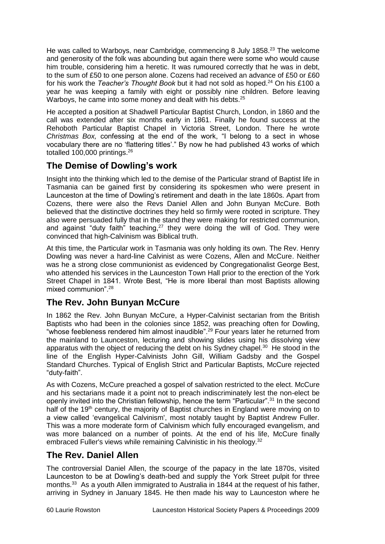He was called to Warboys, near Cambridge, commencing 8 July 1858.<sup>23</sup> The welcome and generosity of the folk was abounding but again there were some who would cause him trouble, considering him a heretic. It was rumoured correctly that he was in debt, to the sum of £50 to one person alone. Cozens had received an advance of £50 or £60 for his work the *Teacher's Thought Book* but it had not sold as hoped.<sup>24</sup> On his £100 a year he was keeping a family with eight or possibly nine children. Before leaving Warboys, he came into some money and dealt with his debts.<sup>25</sup>

He accepted a position at Shadwell Particular Baptist Church, London, in 1860 and the call was extended after six months early in 1861. Finally he found success at the Rehoboth Particular Baptist Chapel in Victoria Street, London. There he wrote *Christmas Box,* confessing at the end of the work, "I belong to a sect in whose vocabulary there are no 'flattering titles'." By now he had published 43 works of which totalled 100,000 printings.<sup>26</sup>

# **The Demise of Dowling's work**

Insight into the thinking which led to the demise of the Particular strand of Baptist life in Tasmania can be gained first by considering its spokesmen who were present in Launceston at the time of Dowling's retirement and death in the late 1860s. Apart from Cozens, there were also the Revs Daniel Allen and John Bunyan McCure. Both believed that the distinctive doctrines they held so firmly were rooted in scripture. They also were persuaded fully that in the stand they were making for restricted communion, and against "duty faith" teaching, $27$  they were doing the will of God. They were convinced that high-Calvinism was Biblical truth.

At this time, the Particular work in Tasmania was only holding its own. The Rev. Henry Dowling was never a hard-line Calvinist as were Cozens, Allen and McCure. Neither was he a strong close communionist as evidenced by Congregationalist George Best, who attended his services in the Launceston Town Hall prior to the erection of the York Street Chapel in 1841. Wrote Best, "He is more liberal than most Baptists allowing mixed communion". 28

# **The Rev. John Bunyan McCure**

In 1862 the Rev. John Bunyan McCure, a Hyper-Calvinist sectarian from the British Baptists who had been in the colonies since 1852, was preaching often for Dowling, "whose feebleness rendered him almost inaudible".<sup>29</sup> Four years later he returned from the mainland to Launceston, lecturing and showing slides using his dissolving view apparatus with the object of reducing the debt on his Sydney chapel.<sup>30</sup> He stood in the line of the English Hyper-Calvinists John Gill, William Gadsby and the Gospel Standard Churches. Typical of English Strict and Particular Baptists, McCure rejected "duty-faith".

As with Cozens, McCure preached a gospel of salvation restricted to the elect. McCure and his sectarians made it a point not to preach indiscriminately lest the non-elect be openly invited into the Christian fellowship, hence the term "Particular".<sup>31</sup> In the second half of the 19<sup>th</sup> century, the majority of Baptist churches in England were moving on to a view called 'evangelical Calvinism', most notably taught by Baptist Andrew Fuller. This was a more moderate form of Calvinism which fully encouraged evangelism, and was more balanced on a number of points. At the end of his life, McCure finally embraced Fuller's views while remaining Calvinistic in his theology.<sup>32</sup>

# **The Rev. Daniel Allen**

The controversial Daniel Allen, the scourge of the papacy in the late 1870s, visited Launceston to be at Dowling's death-bed and supply the York Street pulpit for three months.<sup>33</sup> As a youth Allen immigrated to Australia in 1844 at the request of his father, arriving in Sydney in January 1845. He then made his way to Launceston where he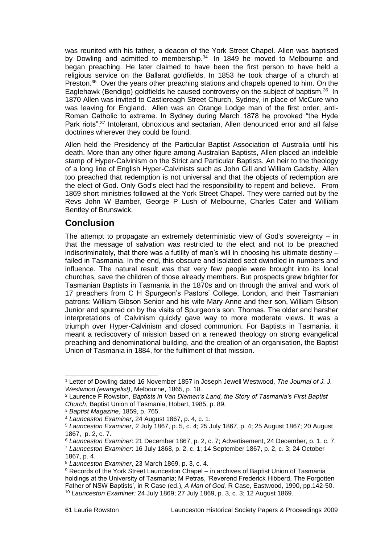was reunited with his father, a deacon of the York Street Chapel. Allen was baptised by Dowling and admitted to membership. $34$  In 1849 he moved to Melbourne and began preaching. He later claimed to have been the first person to have held a religious service on the Ballarat goldfields. In 1853 he took charge of a church at Preston.<sup>35</sup> Over the years other preaching stations and chapels opened to him. On the Eaglehawk (Bendigo) goldfields he caused controversy on the subject of baptism.<sup>36</sup> In 1870 Allen was invited to Castlereagh Street Church, Sydney, in place of McCure who was leaving for England. Allen was an Orange Lodge man of the first order, anti-Roman Catholic to extreme. In Sydney during March 1878 he provoked "the Hyde Park riots".<sup>37</sup> Intolerant, obnoxious and sectarian, Allen denounced error and all false doctrines wherever they could be found.

Allen held the Presidency of the Particular Baptist Association of Australia until his death. More than any other figure among Australian Baptists, Allen placed an indelible stamp of Hyper-Calvinism on the Strict and Particular Baptists. An heir to the theology of a long line of English Hyper-Calvinists such as John Gill and William Gadsby, Allen too preached that redemption is not universal and that the objects of redemption are the elect of God. Only God's elect had the responsibility to repent and believe. From 1869 short ministries followed at the York Street Chapel. They were carried out by the Revs John W Bamber, George P Lush of Melbourne, Charles Cater and William Bentley of Brunswick.

### **Conclusion**

The attempt to propagate an extremely deterministic view of God's sovereignty – in that the message of salvation was restricted to the elect and not to be preached indiscriminately, that there was a futility of man's will in choosing his ultimate destiny – failed in Tasmania. In the end, this obscure and isolated sect dwindled in numbers and influence. The natural result was that very few people were brought into its local churches, save the children of those already members. But prospects grew brighter for Tasmanian Baptists in Tasmania in the 1870s and on through the arrival and work of 17 preachers from C H Spurgeon's Pastors' College, London, and their Tasmanian patrons: William Gibson Senior and his wife Mary Anne and their son, William Gibson Junior and spurred on by the visits of Spurgeon's son, Thomas. The older and harsher interpretations of Calvinism quickly gave way to more moderate views. It was a triumph over Hyper-Calvinism and closed communion. For Baptists in Tasmania, it meant a rediscovery of mission based on a renewed theology on strong evangelical preaching and denominational building, and the creation of an organisation, the Baptist Union of Tasmania in 1884, for the fulfilment of that mission.

 $\overline{a}$ 

<sup>1</sup> Letter of Dowling dated 16 November 1857 in Joseph Jewell Westwood, *The Journal of J. J. Westwood (evangelist)*, Melbourne, 1865, p. 18.

<sup>2</sup> Laurence F Rowston, *Baptists in Van Diemen's Land, the Story of Tasmania's First Baptist Church*, Baptist Union of Tasmania, Hobart, 1985, p. 89.

<sup>3</sup> *Baptist Magazine*, 1859, p. 765.

<sup>4</sup> *Launceston Examiner*, 24 August 1867, p. 4, c. 1.

<sup>5</sup> *Launceston Examiner*, 2 July 1867, p. 5, c. 4; 25 July 1867, p. 4; 25 August 1867; 20 August 1867, p. 2, c. 7.

<sup>6</sup> *Launceston Examiner*: 21 December 1867, p. 2, c. 7; Advertisement, 24 December, p. 1, c. 7.

<sup>7</sup> *Launceston Examiner*: 16 July 1868, p. 2, c. 1; 14 September 1867, p. 2, c. 3; 24 October 1867, p. 4.

<sup>8</sup> *Launceston Examiner*, 23 March 1869, p. 3, c. 4.

<sup>9</sup> Records of the York Street Launceston Chapel – in archives of Baptist Union of Tasmania holdings at the University of Tasmania; M Petras, 'Reverend Frederick Hibberd, The Forgotten Father of NSW Baptists', in R Case (ed.), *A Man of God,* R Case, Eastwood, 1990, pp.142-50. <sup>10</sup> *Launceston Examiner:* 24 July 1869; 27 July 1869, p. 3, c. 3; 12 August 1869.